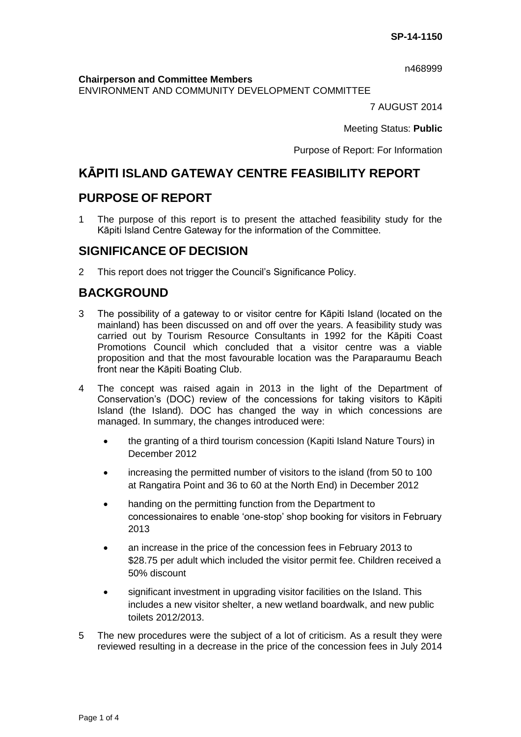n468999

**Chairperson and Committee Members**

ENVIRONMENT AND COMMUNITY DEVELOPMENT COMMITTEE

7 AUGUST 2014

Meeting Status: **Public**

Purpose of Report: For Information

# **KĀPITI ISLAND GATEWAY CENTRE FEASIBILITY REPORT**

# **PURPOSE OF REPORT**

1 The purpose of this report is to present the attached feasibility study for the Kāpiti Island Centre Gateway for the information of the Committee.

# **SIGNIFICANCE OF DECISION**

2 This report does not trigger the Council's Significance Policy.

# **BACKGROUND**

- 3 The possibility of a gateway to or visitor centre for Kāpiti Island (located on the mainland) has been discussed on and off over the years. A feasibility study was carried out by Tourism Resource Consultants in 1992 for the Kāpiti Coast Promotions Council which concluded that a visitor centre was a viable proposition and that the most favourable location was the Paraparaumu Beach front near the Kāpiti Boating Club.
- 4 The concept was raised again in 2013 in the light of the Department of Conservation's (DOC) review of the concessions for taking visitors to Kāpiti Island (the Island). DOC has changed the way in which concessions are managed. In summary, the changes introduced were:
	- the granting of a third tourism concession (Kapiti Island Nature Tours) in December 2012
	- increasing the permitted number of visitors to the island (from 50 to 100 at Rangatira Point and 36 to 60 at the North End) in December 2012
	- handing on the permitting function from the Department to concessionaires to enable 'one-stop' shop booking for visitors in February 2013
	- an increase in the price of the concession fees in February 2013 to \$28.75 per adult which included the visitor permit fee. Children received a 50% discount
	- significant investment in upgrading visitor facilities on the Island. This includes a new visitor shelter, a new wetland boardwalk, and new public toilets 2012/2013.
- 5 The new procedures were the subject of a lot of criticism. As a result they were reviewed resulting in a decrease in the price of the concession fees in July 2014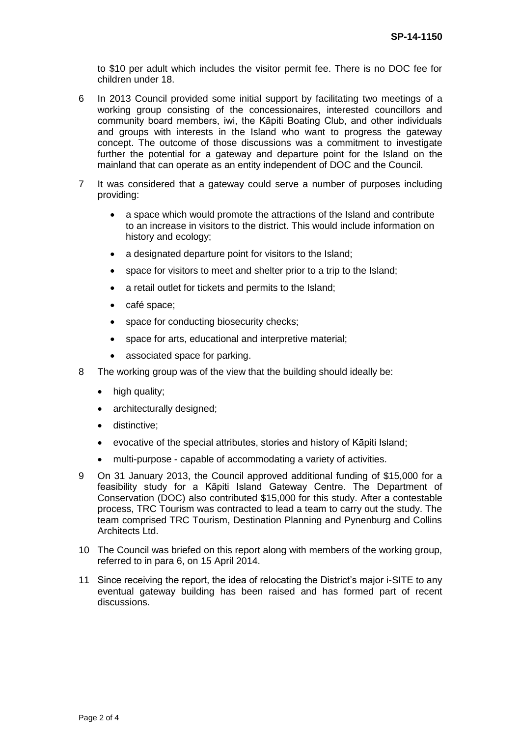to \$10 per adult which includes the visitor permit fee. There is no DOC fee for children under 18.

- 6 In 2013 Council provided some initial support by facilitating two meetings of a working group consisting of the concessionaires, interested councillors and community board members, iwi, the Kāpiti Boating Club, and other individuals and groups with interests in the Island who want to progress the gateway concept. The outcome of those discussions was a commitment to investigate further the potential for a gateway and departure point for the Island on the mainland that can operate as an entity independent of DOC and the Council.
- 7 It was considered that a gateway could serve a number of purposes including providing:
	- a space which would promote the attractions of the Island and contribute to an increase in visitors to the district. This would include information on history and ecology;
	- a designated departure point for visitors to the Island;
	- space for visitors to meet and shelter prior to a trip to the Island;
	- a retail outlet for tickets and permits to the Island;
	- café space;
	- space for conducting biosecurity checks;
	- space for arts, educational and interpretive material;
	- associated space for parking.
- 8 The working group was of the view that the building should ideally be:
	- high quality;
	- architecturally designed;
	- distinctive;
	- evocative of the special attributes, stories and history of Kāpiti Island;
	- multi-purpose capable of accommodating a variety of activities.
- 9 On 31 January 2013, the Council approved additional funding of \$15,000 for a feasibility study for a Kāpiti Island Gateway Centre. The Department of Conservation (DOC) also contributed \$15,000 for this study. After a contestable process, TRC Tourism was contracted to lead a team to carry out the study. The team comprised TRC Tourism, Destination Planning and Pynenburg and Collins Architects Ltd.
- 10 The Council was briefed on this report along with members of the working group, referred to in para 6, on 15 April 2014.
- 11 Since receiving the report, the idea of relocating the District's major i-SITE to any eventual gateway building has been raised and has formed part of recent discussions.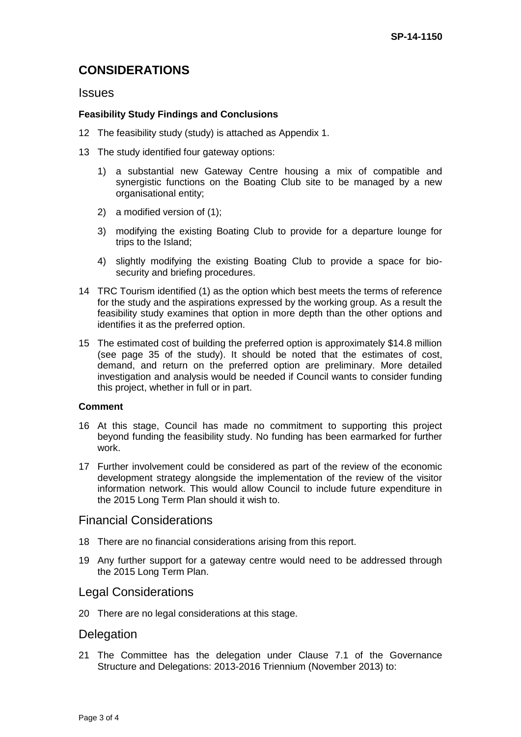# **CONSIDERATIONS**

#### **Issues**

#### **Feasibility Study Findings and Conclusions**

- 12 The feasibility study (study) is attached as Appendix 1.
- 13 The study identified four gateway options:
	- 1) a substantial new Gateway Centre housing a mix of compatible and synergistic functions on the Boating Club site to be managed by a new organisational entity;
	- 2) a modified version of (1);
	- 3) modifying the existing Boating Club to provide for a departure lounge for trips to the Island;
	- 4) slightly modifying the existing Boating Club to provide a space for biosecurity and briefing procedures.
- 14 TRC Tourism identified (1) as the option which best meets the terms of reference for the study and the aspirations expressed by the working group. As a result the feasibility study examines that option in more depth than the other options and identifies it as the preferred option.
- 15 The estimated cost of building the preferred option is approximately \$14.8 million (see page 35 of the study). It should be noted that the estimates of cost, demand, and return on the preferred option are preliminary. More detailed investigation and analysis would be needed if Council wants to consider funding this project, whether in full or in part.

#### **Comment**

- 16 At this stage, Council has made no commitment to supporting this project beyond funding the feasibility study. No funding has been earmarked for further work.
- 17 Further involvement could be considered as part of the review of the economic development strategy alongside the implementation of the review of the visitor information network. This would allow Council to include future expenditure in the 2015 Long Term Plan should it wish to.

## Financial Considerations

- 18 There are no financial considerations arising from this report.
- 19 Any further support for a gateway centre would need to be addressed through the 2015 Long Term Plan.

## Legal Considerations

20 There are no legal considerations at this stage.

## **Delegation**

21 The Committee has the delegation under Clause 7.1 of the Governance Structure and Delegations: 2013-2016 Triennium (November 2013) to: